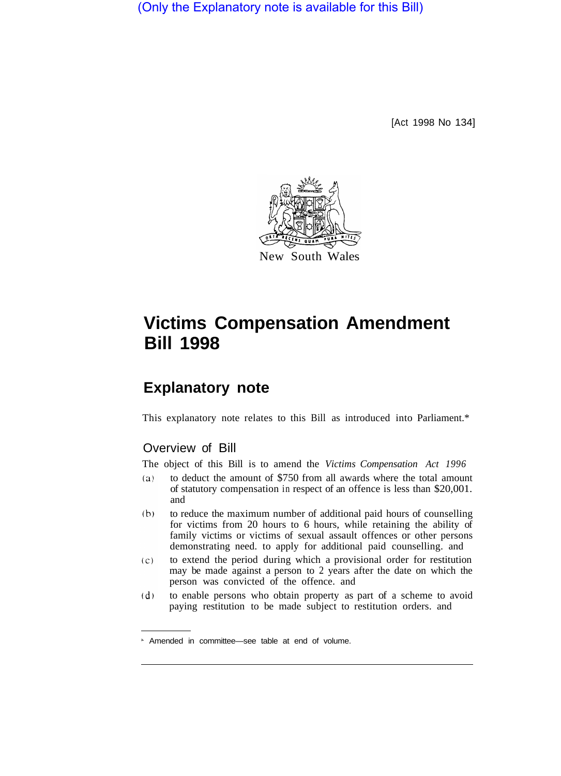(Only the Explanatory note is available for this Bill)

[Act 1998 No 134]



# **Victims Compensation Amendment Bill 1998**

## **Explanatory note**

This explanatory note relates to this Bill as introduced into Parliament.\*

### Overview of Bill

The object of this Bill is to amend the *Victims Compensation Act 1996* 

- $(a)$ to deduct the amount of \$750 from all awards where the total amount of statutory compensation in respect of an offence is less than \$20,001. and
- $(b)$ to reduce the maximum number of additional paid hours of counselling for victims from 20 hours to 6 hours, while retaining the ability of family victims or victims of sexual assault offences or other persons demonstrating need. to apply for additional paid counselling. and
- $(c)$ to extend the period during which a provisional order for restitution may be made against a person to 2 years after the date on which the person was convicted of the offence. and
- $(d)$ to enable persons who obtain property as part of a scheme to avoid paying restitution to be made subject to restitution orders. and

Amended in committee—see table at end of volume.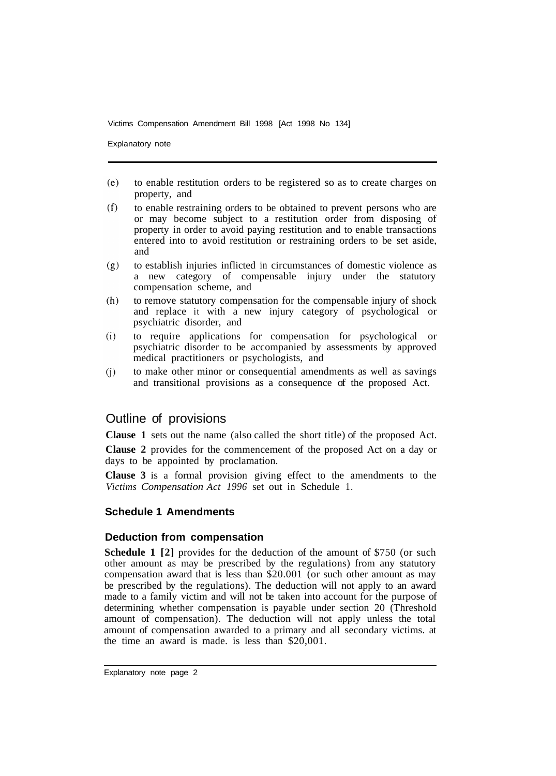Explanatory note

- $(e)$ to enable restitution orders to be registered so as to create charges on property, and
- $(f)$ to enable restraining orders to be obtained to prevent persons who are or may become subject to a restitution order from disposing of property in order to avoid paying restitution and to enable transactions entered into to avoid restitution or restraining orders to be set aside, and
- to establish injuries inflicted in circumstances of domestic violence as  $(g)$ a new category of compensable injury under the statutory compensation scheme, and
- to remove statutory compensation for the compensable injury of shock  $(h)$ and replace it with a new injury category of psychological or psychiatric disorder, and
- to require applications for compensation for psychological or  $(i)$ psychiatric disorder to be accompanied by assessments by approved medical practitioners or psychologists, and
- to make other minor or consequential amendments as well as savings  $(i)$ and transitional provisions as a consequence of the proposed Act.

#### Outline of provisions

**Clause 1** sets out the name (also called the short title) of the proposed Act.

**Clause 2** provides for the commencement of the proposed Act on a day or days to be appointed by proclamation.

**Clause 3** is a formal provision giving effect to the amendments to the *Victims Compensation Act 1996* set out in Schedule 1.

#### **Schedule 1 Amendments**

#### **Deduction from compensation**

**Schedule 1 [2]** provides for the deduction of the amount of \$750 (or such other amount as may be prescribed by the regulations) from any statutory compensation award that is less than \$20.001 (or such other amount as may be prescribed by the regulations). The deduction will not apply to an award made to a family victim and will not be taken into account for the purpose of determining whether compensation is payable under section 20 (Threshold amount of compensation). The deduction will not apply unless the total amount of compensation awarded to a primary and all secondary victims. at the time an award is made. is less than \$20,001.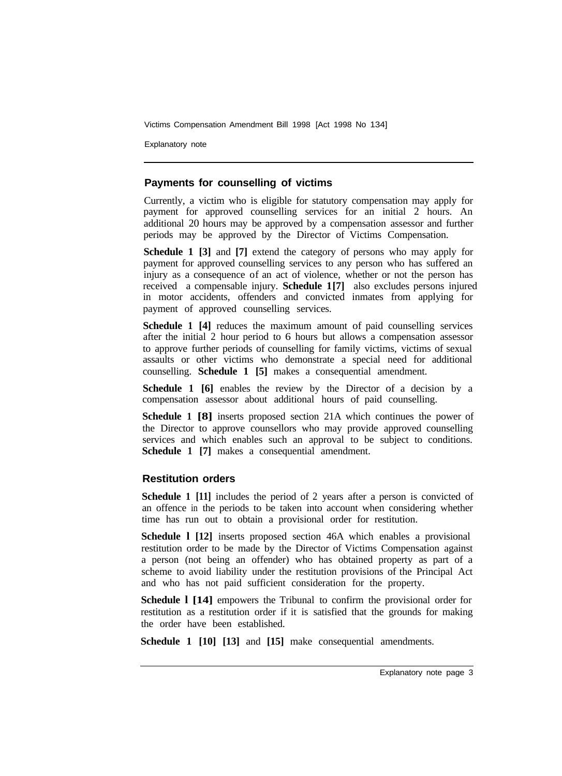Explanatory note

#### **Payments for counselling of victims**

Currently, a victim who is eligible for statutory compensation may apply for payment for approved counselling services for an initial 2 hours. An additional 20 hours may be approved by a compensation assessor and further periods may be approved by the Director of Victims Compensation.

**Schedule 1 [3] and [7] extend the category of persons who may apply for** payment for approved counselling services to any person who has suffered an injury as a consequence of an act of violence, whether or not the person has received acompensable injury. **Schedule 1 [7]** also excludes persons injured in motor accidents, offenders and convicted inmates from applying for payment of approved counselling services.

**Schedule 1 [4]** reduces the maximum amount of paid counselling services after the initial 2 hour period to 6 hours but allows a compensation assessor to approve further periods of counselling for family victims, victims of sexual assaults or other victims who demonstrate a special need for additional counselling. **Schedule 1 [5]** makes a consequential amendment.

**Schedule 1 [6]** enables the review by the Director of a decision by a compensation assessor about additional hours of paid counselling.

**Schedule 1 [8]** inserts proposed section 21A which continues the power of the Director to approve counsellors who may provide approved counselling services and which enables such an approval to be subject to conditions. **Schedule 1 [7]** makes a consequential amendment.

#### **Restitution orders**

**Schedule 1** [11] includes the period of 2 years after a person is convicted of an offence in the periods to be taken into account when considering whether time has run out to obtain a provisional order for restitution.

**Schedule l [12]** inserts proposed section 46A which enables a provisional restitution order to be made by the Director of Victims Compensation against a person (not being an offender) who has obtained property as part of a scheme to avoid liability under the restitution provisions of the Principal Act and who has not paid sufficient consideration for the property.

**Schedule l [14]** empowers the Tribunal to confirm the provisional order for restitution as a restitution order if it is satisfied that the grounds for making the order have been established.

**Schedule 1 [10] [13]** and **[15]** make consequential amendments.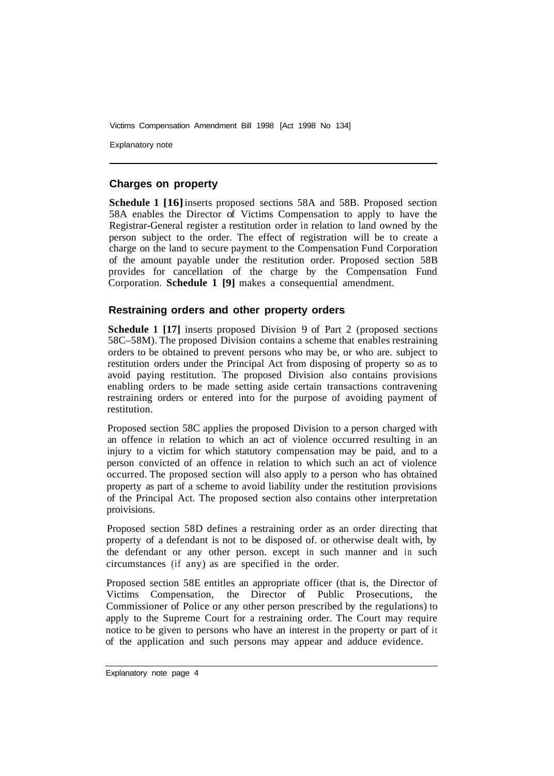Explanatory note

#### **Charges on property**

**Schedule 1 [16]** inserts proposed sections 58A and 58B. Proposed section 58A enables the Director of Victims Compensation to apply to have the Registrar-General register a restitution order in relation to land owned by the person subject to the order. The effect of registration will be to create a charge on the land to secure payment to the Compensation Fund Corporation of the amount payable under the restitution order. Proposed section 58B provides for cancellation of the charge by the Compensation Fund Corporation. **Schedule 1 [9]** makes a consequential amendment.

#### **Restraining orders and other property orders**

**Schedule 1 [17]** inserts proposed Division 9 of Part 2 (proposed sections 58C–58M). The proposed Division contains a scheme that enables restraining orders to be obtained to prevent persons who may be, or who are. subject to restitution orders under the Principal Act from disposing of property so as to avoid paying restitution. The proposed Division also contains provisions enabling orders to be made setting aside certain transactions contravening restraining orders or entered into for the purpose of avoiding payment of restitution.

Proposed section 58C applies the proposed Division to a person charged with an offence in relation to which an act of violence occurred resulting in an injury to a victim for which statutory compensation may be paid, and to a person convicted of an offence in relation to which such an act of violence occurred. The proposed section will also apply to a person who has obtained property as part of a scheme to avoid liability under the restitution provisions of the Principal Act. The proposed section also contains other interpretation proivisions.

Proposed section 58D defines a restraining order as an order directing that property of a defendant is not to be disposed of. or otherwise dealt with, by the defendant or any other person. except in such manner and in such circumstances (if any) as are specified in the order.

Proposed section 58E entitles an appropriate officer (that is, the Director of Victims Compensation, the Director of Public Prosecutions, the Commissioner of Police or any other person prescribed by the regulations) to apply to the Supreme Court for a restraining order. The Court may require notice to be given to persons who have an interest in the property or part of it of the application and such persons may appear and adduce evidence.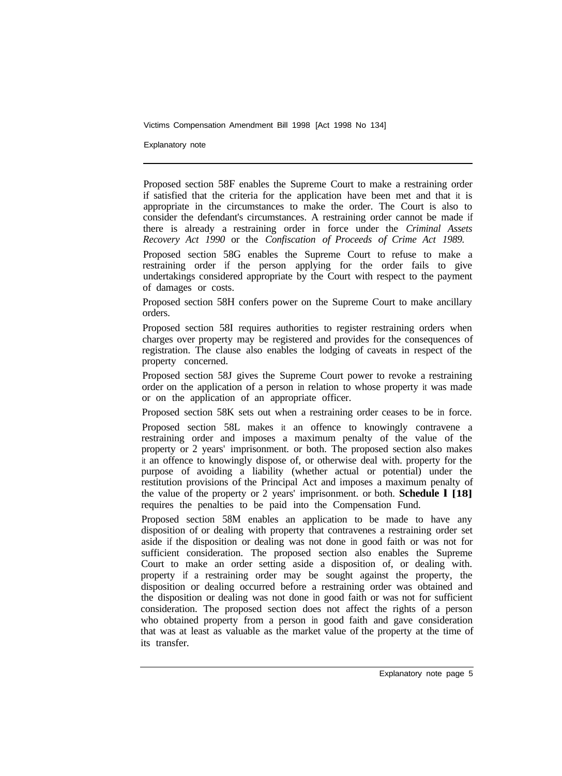Explanatory note

Proposed section 58F enables the Supreme Court to make a restraining order if satisfied that the criteria for the application have been met and that it is appropriate in the circumstances to make the order. The Court is also to consider the defendant's circumstances. A restraining order cannot be made if there is already a restraining order in force under the *Criminal Assets Recovery Act 1990* or the *Confiscation of Proceeds of Crime Act 1989.* 

Proposed section 58G enables the Supreme Court to refuse to make a restraining order if the person applying for the order fails to give undertakings considered appropriate by the Court with respect to the payment of damages or costs.

Proposed section 58H confers power on the Supreme Court to make ancillary orders.

Proposed section 58I requires authorities to register restraining orders when charges over property may be registered and provides for the consequences of registration. The clause also enables the lodging of caveats in respect of the property concerned.

Proposed section 58J gives the Supreme Court power to revoke a restraining order on the application of a person in relation to whose property it was made or on the application of an appropriate officer.

Proposed section 58K sets out when a restraining order ceases to be in force.

Proposed section 58L makes it an offence to knowingly contravene a restraining order and imposes a maximum penalty of the value of the property or 2 years' imprisonment. or both. The proposed section also makes it an offence to knowingly dispose of, or otherwise deal with. property for the purpose of avoiding a liability (whether actual or potential) under the restitution provisions of the Principal Act and imposes a maximum penalty of the value of the property or 2 years' imprisonment. or both. **Schedule l [18]**  requires the penalties to be paid into the Compensation Fund.

Proposed section 58M enables an application to be made to have any disposition of or dealing with property that contravenes a restraining order set aside if the disposition or dealing was not done in good faith or was not for sufficient consideration. The proposed section also enables the Supreme Court to make an order setting aside a disposition of, or dealing with. property if a restraining order may be sought against the property, the disposition or dealing occurred before a restraining order was obtained and the disposition or dealing was not done in good faith or was not for sufficient consideration. The proposed section does not affect the rights of a person who obtained property from a person in good faith and gave consideration that was at least as valuable as the market value of the property at the time of its transfer.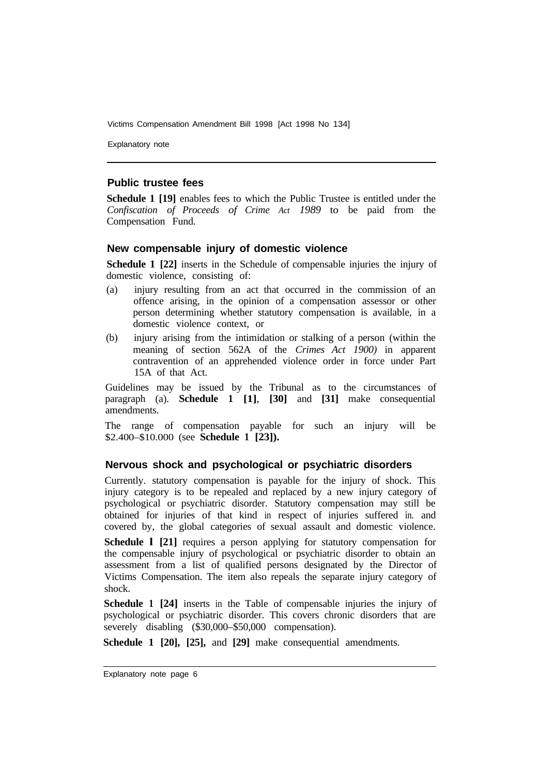Explanatory note

#### **Public trustee fees**

**Schedule 1 [19]** enables fees to which the Public Trustee is entitled under the *Confiscation of Proceeds of Crime Act 1989* to be paid from the Compensation Fund.

#### **New compensable injury of domestic violence**

**Schedule 1 [22]** inserts in the Schedule of compensable injuries the injury of domestic violence, consisting of:

- (a) injury resulting from an act that occurred in the commission of an offence arising, in the opinion of a compensation assessor or other person determining whether statutory compensation is available, in a domestic violence context, or
- (b) injury arising from the intimidation or stalking of a person (within the meaning of section 562A of the *Crimes Act 1900)* in apparent contravention of an apprehended violence order in force under Part 15A of that Act.

Guidelines may be issued by the Tribunal as to the circumstances of paragraph (a). **Schedule 1 [1]**, **[30]** and **[31]** make consequential amendments.

The range of compensation payable for such an injury will be \$2.400–\$10.000 (see **Schedule 1 [23]).** 

#### **Nervous shock and psychological or psychiatric disorders**

Currently. statutory compensation is payable for the injury of shock. This injury category is to be repealed and replaced by a new injury category of psychological or psychiatric disorder. Statutory compensation may still be obtained for injuries of that kind in respect of injuries suffered in. and covered by, the global categories of sexual assault and domestic violence.

**Schedule 1 [21]** requires a person applying for statutory compensation for the compensable injury of psychological or psychiatric disorder to obtain an assessment from a list of qualified persons designated by the Director of Victims Compensation. The item also repeals the separate injury category of shock.

**Schedule 1 [24]** inserts in the Table of compensable injuries the injury of psychological or psychiatric disorder. This covers chronic disorders that are severely disabling (\$30,000–\$50,000 compensation).

**Schedule 1 [20], [25],** and **[29]** make consequential amendments.